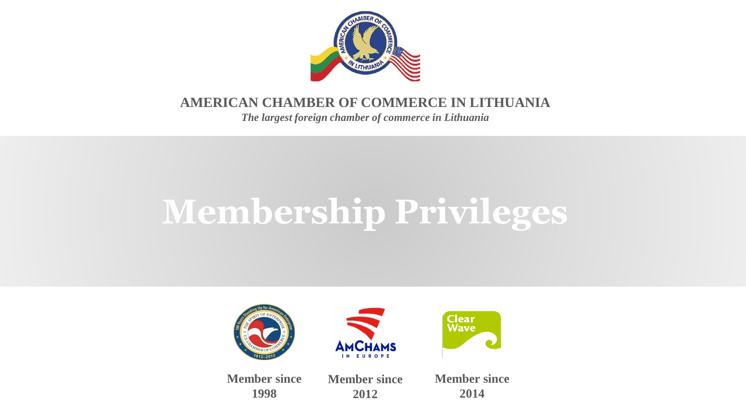

#### **AMERICAN CHAMBER OF COMMERCE IN LITHUANIA**

*The largest foreign chamber of commerce in Lithuania* 

# **Membership Privileges**



**1998**

**2012**

**Member since 2014**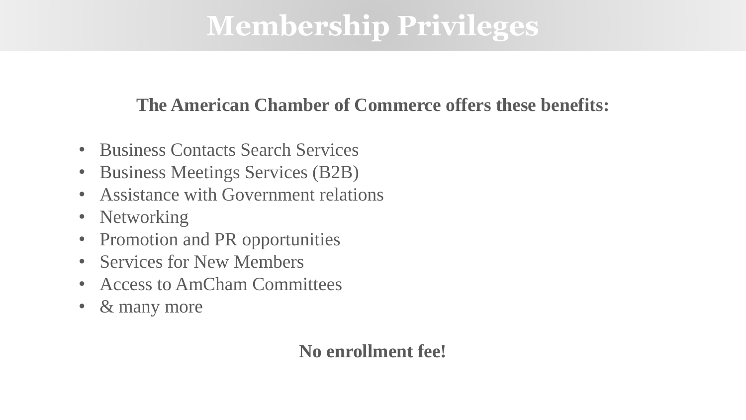#### **The American Chamber of Commerce offers these benefits:**

- Business Contacts Search Services
- Business Meetings Services (B2B)
- Assistance with Government relations
- Networking
- Promotion and PR opportunities
- **Services for New Members**
- Access to AmCham Committees
- & many more

#### **No enrollment fee!**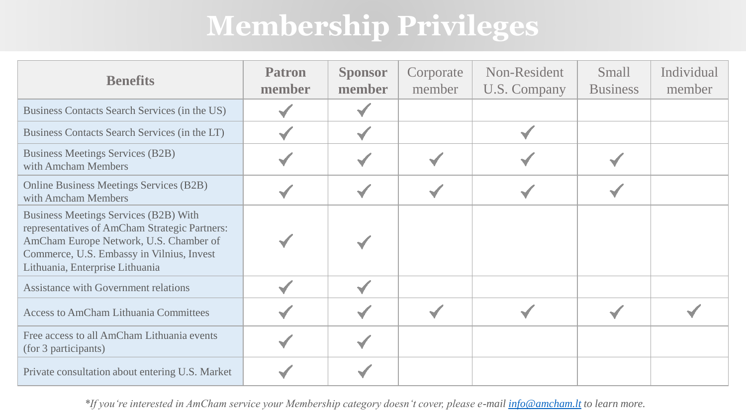| <b>Benefits</b>                                                                                                                                                                                                         | <b>Patron</b><br>member | <b>Sponsor</b><br>member | Corporate<br>member | Non-Resident<br><b>U.S. Company</b> | Small<br><b>Business</b> | Individual<br>member |
|-------------------------------------------------------------------------------------------------------------------------------------------------------------------------------------------------------------------------|-------------------------|--------------------------|---------------------|-------------------------------------|--------------------------|----------------------|
| Business Contacts Search Services (in the US)                                                                                                                                                                           |                         |                          |                     |                                     |                          |                      |
| Business Contacts Search Services (in the LT)                                                                                                                                                                           |                         |                          |                     |                                     |                          |                      |
| <b>Business Meetings Services (B2B)</b><br>with Amcham Members                                                                                                                                                          |                         |                          |                     |                                     |                          |                      |
| <b>Online Business Meetings Services (B2B)</b><br>with Amcham Members                                                                                                                                                   |                         |                          |                     |                                     |                          |                      |
| <b>Business Meetings Services (B2B) With</b><br>representatives of AmCham Strategic Partners:<br>AmCham Europe Network, U.S. Chamber of<br>Commerce, U.S. Embassy in Vilnius, Invest<br>Lithuania, Enterprise Lithuania |                         |                          |                     |                                     |                          |                      |
| <b>Assistance with Government relations</b>                                                                                                                                                                             |                         |                          |                     |                                     |                          |                      |
| <b>Access to AmCham Lithuania Committees</b>                                                                                                                                                                            |                         |                          |                     |                                     |                          |                      |
| Free access to all AmCham Lithuania events<br>(for 3 participants)                                                                                                                                                      |                         |                          |                     |                                     |                          |                      |
| Private consultation about entering U.S. Market                                                                                                                                                                         |                         |                          |                     |                                     |                          |                      |

*\*If you're interested in AmCham service your Membership category doesn't cover, please e-mail [info@amcham.lt](mailto:info@amcham.lt) to learn more.*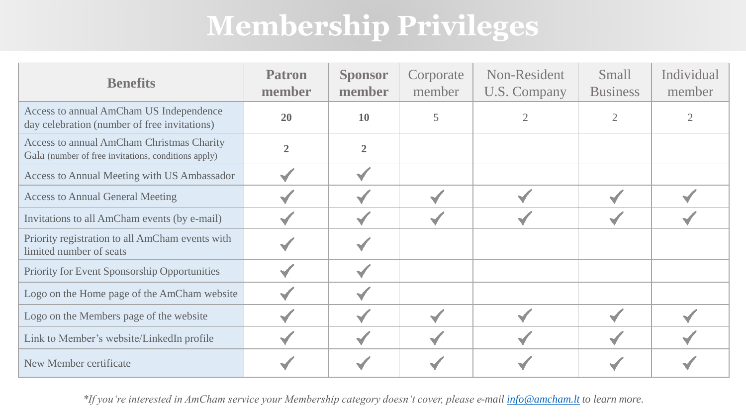| <b>Benefits</b>                                                                                  | <b>Patron</b><br>member | <b>Sponsor</b><br>member | Corporate<br>member | Non-Resident<br>U.S. Company | Small<br><b>Business</b> | Individual<br>member |
|--------------------------------------------------------------------------------------------------|-------------------------|--------------------------|---------------------|------------------------------|--------------------------|----------------------|
| Access to annual AmCham US Independence<br>day celebration (number of free invitations)          | 20                      | 10                       | 5                   |                              |                          |                      |
| Access to annual AmCham Christmas Charity<br>Gala (number of free invitations, conditions apply) |                         | $\overline{2}$           |                     |                              |                          |                      |
| Access to Annual Meeting with US Ambassador                                                      |                         |                          |                     |                              |                          |                      |
| <b>Access to Annual General Meeting</b>                                                          |                         |                          |                     |                              |                          |                      |
| Invitations to all AmCham events (by e-mail)                                                     |                         |                          |                     |                              |                          |                      |
| Priority registration to all AmCham events with<br>limited number of seats                       |                         |                          |                     |                              |                          |                      |
| Priority for Event Sponsorship Opportunities                                                     |                         |                          |                     |                              |                          |                      |
| Logo on the Home page of the AmCham website                                                      |                         |                          |                     |                              |                          |                      |
| Logo on the Members page of the website                                                          |                         |                          |                     |                              |                          |                      |
| Link to Member's website/LinkedIn profile                                                        |                         |                          |                     |                              |                          |                      |
| New Member certificate                                                                           |                         |                          |                     |                              |                          |                      |

*\*If you're interested in AmCham service your Membership category doesn't cover, please e-mail [info@amcham.lt](mailto:info@amcham.lt) to learn more.*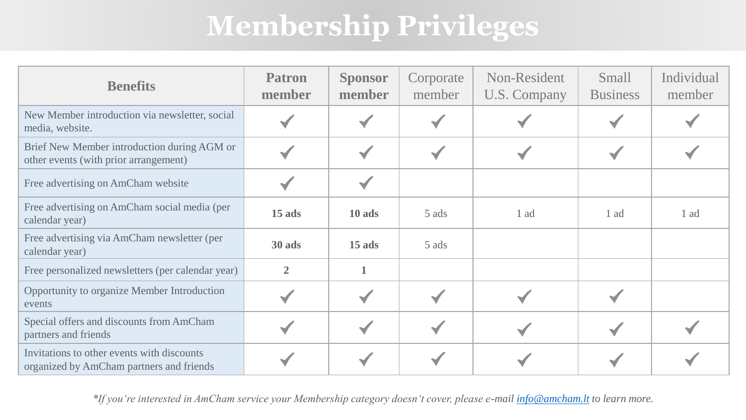| <b>Benefits</b>                                                                        | <b>Patron</b><br>member | <b>Sponsor</b><br>member | Corporate<br>member | Non-Resident<br>U.S. Company | <b>Small</b><br><b>Business</b> | Individual<br>member |
|----------------------------------------------------------------------------------------|-------------------------|--------------------------|---------------------|------------------------------|---------------------------------|----------------------|
| New Member introduction via newsletter, social<br>media, website.                      |                         |                          |                     |                              |                                 |                      |
| Brief New Member introduction during AGM or<br>other events (with prior arrangement)   |                         |                          |                     |                              |                                 |                      |
| Free advertising on AmCham website                                                     |                         |                          |                     |                              |                                 |                      |
| Free advertising on AmCham social media (per<br>calendar year)                         | $15$ ads                | 10 ads                   | 5 ads               | 1 ad                         | 1 ad                            | 1 ad                 |
| Free advertising via AmCham newsletter (per<br>calendar year)                          | 30 ads                  | 15 ads                   | 5 ads               |                              |                                 |                      |
| Free personalized newsletters (per calendar year)                                      | $\overline{2}$          |                          |                     |                              |                                 |                      |
| Opportunity to organize Member Introduction<br>events                                  |                         |                          |                     |                              |                                 |                      |
| Special offers and discounts from AmCham<br>partners and friends                       |                         |                          |                     |                              |                                 |                      |
| Invitations to other events with discounts<br>organized by AmCham partners and friends |                         |                          |                     |                              |                                 |                      |

*\*If you're interested in AmCham service your Membership category doesn't cover, please e-mail [info@amcham.lt](mailto:info@amcham.lt) to learn more.*